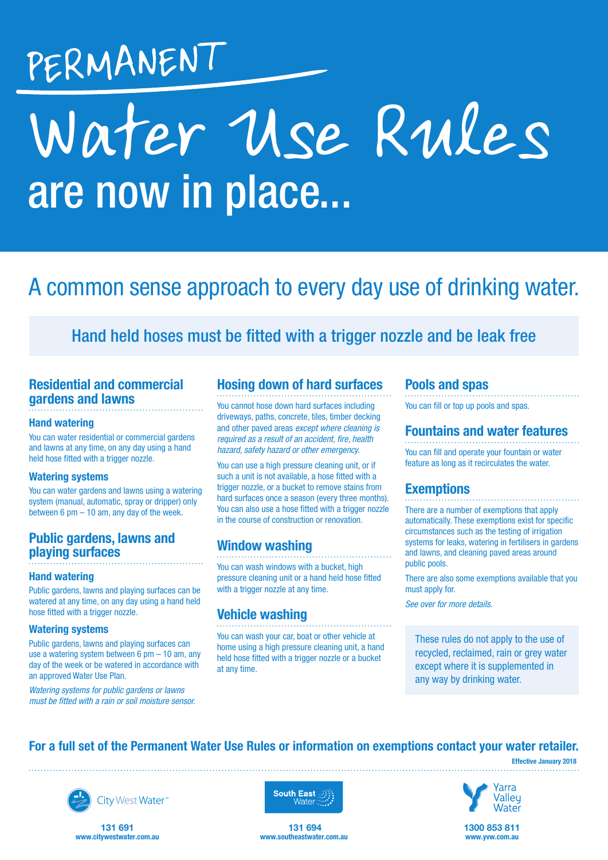## PERMANENT

# are now in place... Water Use Rules

### A common sense approach to every day use of drinking water.

#### Hand held hoses must be fitted with a trigger nozzle and be leak free

#### Residential and commercial gardens and lawns

#### Hand watering

You can water residential or commercial gardens and lawns at any time, on any day using a hand held hose fitted with a trigger nozzle.

#### Watering systems

You can water gardens and lawns using a watering system (manual, automatic, spray or dripper) only between 6 pm – 10 am, any day of the week.

#### Public gardens, lawns and playing surfaces

#### Hand watering

Public gardens, lawns and playing surfaces can be watered at any time, on any day using a hand held hose fitted with a trigger nozzle.

#### Watering systems

Public gardens, lawns and playing surfaces can use a watering system between 6 pm – 10 am, any day of the week or be watered in accordance with an approved Water Use Plan.

*Watering systems for public gardens or lawns must be fitted with a rain or soil moisture sensor.*

#### Hosing down of hard surfaces

You cannot hose down hard surfaces including driveways, paths, concrete, tiles, timber decking and other paved areas *except where cleaning is required as a result of an accident, fire, health hazard, safety hazard or other emergency.*

You can use a high pressure cleaning unit, or if such a unit is not available, a hose fitted with a trigger nozzle, or a bucket to remove stains from hard surfaces once a season (every three months). You can also use a hose fitted with a trigger nozzle in the course of construction or renovation.

#### Window washing

You can wash windows with a bucket, high pressure cleaning unit or a hand held hose fitted with a trigger nozzle at any time.

#### Vehicle washing

You can wash your car, boat or other vehicle at home using a high pressure cleaning unit, a hand held hose fitted with a trigger nozzle or a bucket at any time.

#### Pools and spas

You can fill or top up pools and spas.

#### Fountains and water features

You can fill and operate your fountain or water feature as long as it recirculates the water.

#### **Exemptions**

There are a number of exemptions that apply automatically. These exemptions exist for specific circumstances such as the testing of irrigation systems for leaks, watering in fertilisers in gardens and lawns, and cleaning paved areas around public pools.

There are also some exemptions available that you must apply for.

*See over for more details.*

These rules do not apply to the use of recycled, reclaimed, rain or grey water except where it is supplemented in any way by drinking water.

#### For a full set of the Permanent Water Use Rules or information on exemptions contact your water retailer.

Effective January 2018



City West Water<sup>®</sup>

131 691 www.citywestwater.com.au



131 694 www.southeastwater.com.au



1300 853 811 www.yvw.com.au